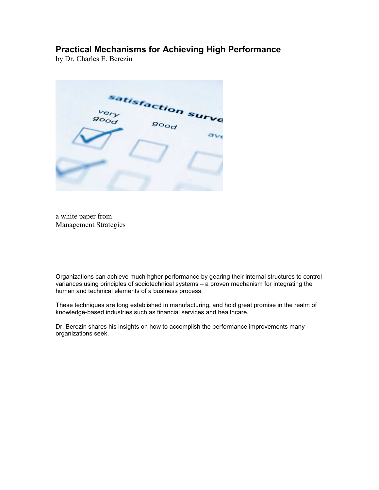### Practical Mechanisms for Achieving High Performance

by Dr. Charles E. Berezin

satisfaction surve  $\overline{\rho}$ **good** 

a white paper from Management Strategies

Organizations can achieve much hgher performance by gearing their internal structures to control variances using principles of sociotechnical systems – a proven mechanism for integrating the human and technical elements of a business process.

These techniques are long established in manufacturing, and hold great promise in the realm of knowledge-based industries such as financial services and healthcare.

Dr. Berezin shares his insights on how to accomplish the performance improvements many organizations seek.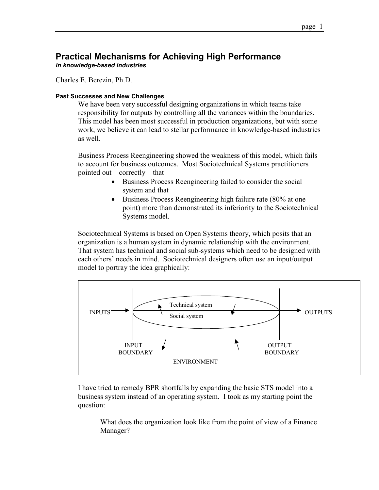#### Practical Mechanisms for Achieving High Performance in knowledge-based industries

Charles E. Berezin, Ph.D.

#### Past Successes and New Challenges

We have been very successful designing organizations in which teams take responsibility for outputs by controlling all the variances within the boundaries. This model has been most successful in production organizations, but with some work, we believe it can lead to stellar performance in knowledge-based industries as well.

Business Process Reengineering showed the weakness of this model, which fails to account for business outcomes. Most Sociotechnical Systems practitioners pointed out – correctly – that

- Business Process Reengineering failed to consider the social system and that
- Business Process Reengineering high failure rate (80% at one) point) more than demonstrated its inferiority to the Sociotechnical Systems model.

Sociotechnical Systems is based on Open Systems theory, which posits that an organization is a human system in dynamic relationship with the environment. That system has technical and social sub-systems which need to be designed with each others' needs in mind. Sociotechnical designers often use an input/output model to portray the idea graphically:



I have tried to remedy BPR shortfalls by expanding the basic STS model into a business system instead of an operating system. I took as my starting point the question:

What does the organization look like from the point of view of a Finance Manager?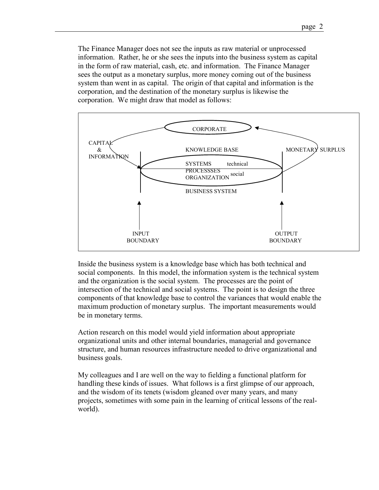The Finance Manager does not see the inputs as raw material or unprocessed information. Rather, he or she sees the inputs into the business system as capital in the form of raw material, cash, etc. and information. The Finance Manager sees the output as a monetary surplus, more money coming out of the business system than went in as capital. The origin of that capital and information is the corporation, and the destination of the monetary surplus is likewise the corporation. We might draw that model as follows:



Inside the business system is a knowledge base which has both technical and social components. In this model, the information system is the technical system and the organization is the social system. The processes are the point of intersection of the technical and social systems. The point is to design the three components of that knowledge base to control the variances that would enable the maximum production of monetary surplus. The important measurements would be in monetary terms.

Action research on this model would yield information about appropriate organizational units and other internal boundaries, managerial and governance structure, and human resources infrastructure needed to drive organizational and business goals.

My colleagues and I are well on the way to fielding a functional platform for handling these kinds of issues. What follows is a first glimpse of our approach, and the wisdom of its tenets (wisdom gleaned over many years, and many projects, sometimes with some pain in the learning of critical lessons of the realworld).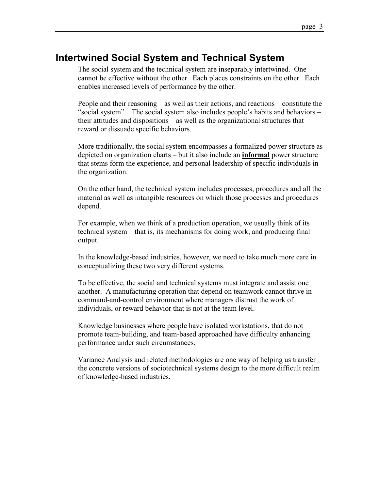## Intertwined Social System and Technical System

The social system and the technical system are inseparably intertwined. One cannot be effective without the other. Each places constraints on the other. Each enables increased levels of performance by the other.

People and their reasoning – as well as their actions, and reactions – constitute the "social system". The social system also includes people's habits and behaviors – their attitudes and dispositions – as well as the organizational structures that reward or dissuade specific behaviors.

More traditionally, the social system encompasses a formalized power structure as depicted on organization charts – but it also include an informal power structure that stems form the experience, and personal leadership of specific individuals in the organization.

On the other hand, the technical system includes processes, procedures and all the material as well as intangible resources on which those processes and procedures depend.

For example, when we think of a production operation, we usually think of its technical system – that is, its mechanisms for doing work, and producing final output.

In the knowledge-based industries, however, we need to take much more care in conceptualizing these two very different systems.

To be effective, the social and technical systems must integrate and assist one another. A manufacturing operation that depend on teamwork cannot thrive in command-and-control environment where managers distrust the work of individuals, or reward behavior that is not at the team level.

Knowledge businesses where people have isolated workstations, that do not promote team-building, and team-based approached have difficulty enhancing performance under such circumstances.

Variance Analysis and related methodologies are one way of helping us transfer the concrete versions of sociotechnical systems design to the more difficult realm of knowledge-based industries.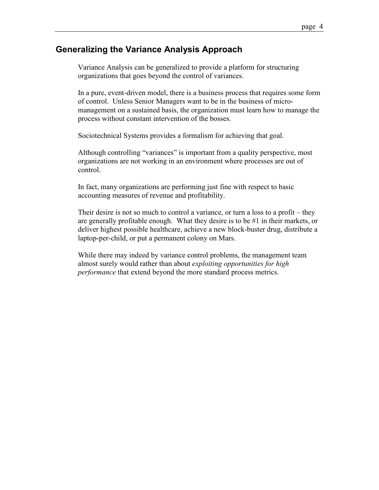### Generalizing the Variance Analysis Approach

Variance Analysis can be generalized to provide a platform for structuring organizations that goes beyond the control of variances.

In a pure, event-driven model, there is a business process that requires some form of control. Unless Senior Managers want to be in the business of micromanagement on a sustained basis, the organization must learn how to manage the process without constant intervention of the bosses.

Sociotechnical Systems provides a formalism for achieving that goal.

Although controlling "variances" is important from a quality perspective, most organizations are not working in an environment where processes are out of control.

In fact, many organizations are performing just fine with respect to basic accounting measures of revenue and profitability.

Their desire is not so much to control a variance, or turn a loss to a profit – they are generally profitable enough. What they desire is to be #1 in their markets, or deliver highest possible healthcare, achieve a new block-buster drug, distribute a laptop-per-child, or put a permanent colony on Mars.

While there may indeed by variance control problems, the management team almost surely would rather than about exploiting opportunities for high performance that extend beyond the more standard process metrics.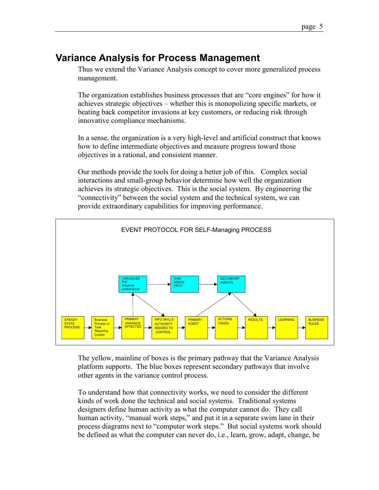# Variance Analysis for Process Management

Thus we extend the Variance Analysis concept to cover more generalized process management.

The organization establishes business processes that are "core engines" for how it achieves strategic objectives – whether this is monopolizing specific markets, or beating back competitor invasions at key customers, or reducing risk through innovative compliance mechanisms.

In a sense, the organization is a very high-level and artificial construct that knows how to define intermediate objectives and measure progress toward those objectives in a rational, and consistent manner.

Our methods provide the tools for doing a better job of this. Complex social interactions and small-group behavior determine how well the organization achieves its strategic objectives. This is the social system. By engineering the "connectivity" between the social system and the technical system, we can provide extraordinary capabilities for improving performance.



The yellow, mainline of boxes is the primary pathway that the Variance Analysis platform supports. The blue boxes represent secondary pathways that involve other agents in the variance control process.

To understand how that connectivity works, we need to consider the different kinds of work done the technical and social systems. Traditional systems designers define human activity as what the computer cannot do. They call human activity, "manual work steps," and put it in a separate swim lane in their process diagrams next to "computer work steps." But social systems work should be defined as what the computer can never do, i.e., learn, grow, adapt, change, be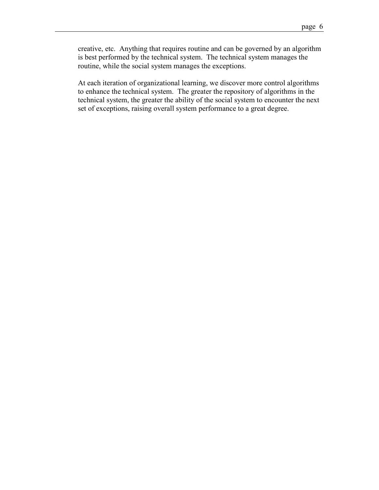creative, etc. Anything that requires routine and can be governed by an algorithm is best performed by the technical system. The technical system manages the routine, while the social system manages the exceptions.

At each iteration of organizational learning, we discover more control algorithms to enhance the technical system. The greater the repository of algorithms in the technical system, the greater the ability of the social system to encounter the next set of exceptions, raising overall system performance to a great degree.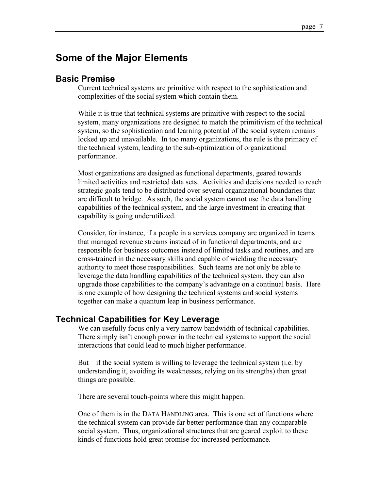## Some of the Major Elements

### Basic Premise

Current technical systems are primitive with respect to the sophistication and complexities of the social system which contain them.

While it is true that technical systems are primitive with respect to the social system, many organizations are designed to match the primitivism of the technical system, so the sophistication and learning potential of the social system remains locked up and unavailable. In too many organizations, the rule is the primacy of the technical system, leading to the sub-optimization of organizational performance.

Most organizations are designed as functional departments, geared towards limited activities and restricted data sets. Activities and decisions needed to reach strategic goals tend to be distributed over several organizational boundaries that are difficult to bridge. As such, the social system cannot use the data handling capabilities of the technical system, and the large investment in creating that capability is going underutilized.

Consider, for instance, if a people in a services company are organized in teams that managed revenue streams instead of in functional departments, and are responsible for business outcomes instead of limited tasks and routines, and are cross-trained in the necessary skills and capable of wielding the necessary authority to meet those responsibilities. Such teams are not only be able to leverage the data handling capabilities of the technical system, they can also upgrade those capabilities to the company's advantage on a continual basis. Here is one example of how designing the technical systems and social systems together can make a quantum leap in business performance.

#### Technical Capabilities for Key Leverage

We can usefully focus only a very narrow bandwidth of technical capabilities. There simply isn't enough power in the technical systems to support the social interactions that could lead to much higher performance.

But – if the social system is willing to leverage the technical system (i.e. by understanding it, avoiding its weaknesses, relying on its strengths) then great things are possible.

There are several touch-points where this might happen.

One of them is in the DATA HANDLING area. This is one set of functions where the technical system can provide far better performance than any comparable social system. Thus, organizational structures that are geared exploit to these kinds of functions hold great promise for increased performance.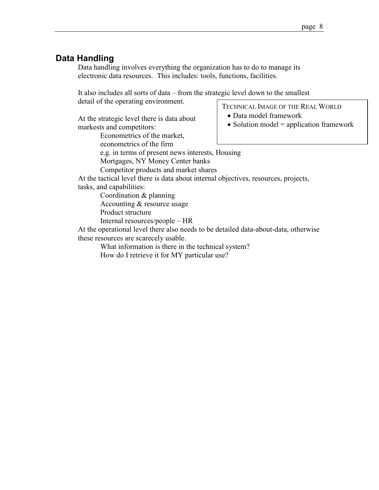• Data model framework

• Solution model = application framework

### Data Handling

Data handling involves everything the organization has to do to manage its electronic data resources. This includes: tools, functions, facilities.

It also includes all sorts of data – from the strategic level down to the smallest detail of the operating environment. TECHNICAL IMAGE OF THE REAL WORLD

At the strategic level there is data about markests and competitors:

Econometrics of the market,

econometrics of the firm

e.g. in terms of present news interests, Housing

Mortgages, NY Money Center banks

Competitor products and market shares

At the tactical level there is data about internal objectives, resources, projects, tasks, and capabilities:

Coordination & planning

Accounting & resource usage

Product structure

Internal resources/people – HR

At the operational level there also needs to be detailed data-about-data, otherwise these resources are scarecely usable.

What information is there in the technical system?

How do I retrieve it for MY particular use?